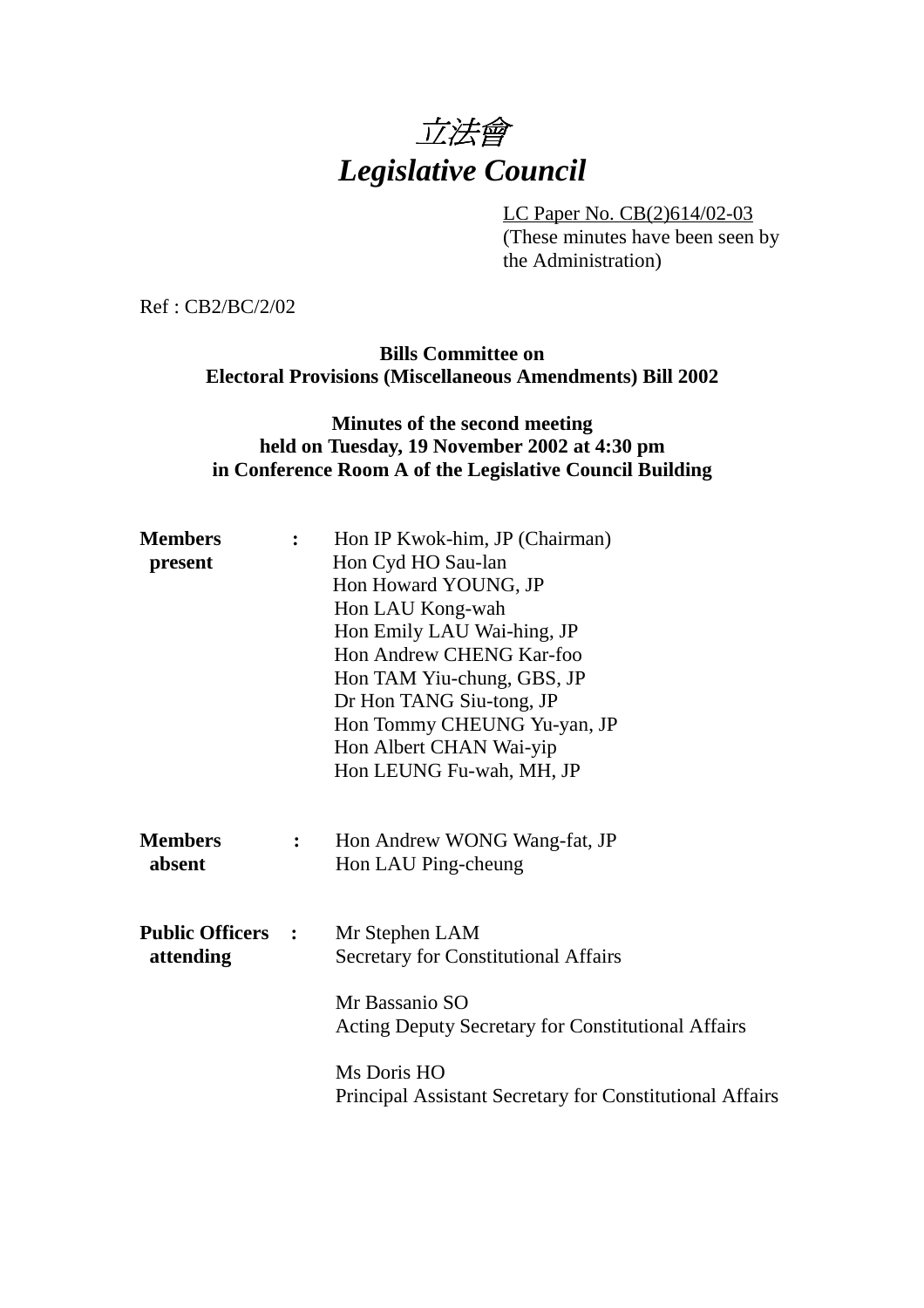

LC Paper No. CB(2)614/02-03 (These minutes have been seen by the Administration)

Ref : CB2/BC/2/02

**Bills Committee on Electoral Provisions (Miscellaneous Amendments) Bill 2002**

# **Minutes of the second meeting held on Tuesday, 19 November 2002 at 4:30 pm in Conference Room A of the Legislative Council Building**

| <b>Members</b><br>present             |                | Hon IP Kwok-him, JP (Chairman)<br>Hon Cyd HO Sau-lan<br>Hon Howard YOUNG, JP<br>Hon LAU Kong-wah<br>Hon Emily LAU Wai-hing, JP<br>Hon Andrew CHENG Kar-foo<br>Hon TAM Yiu-chung, GBS, JP<br>Dr Hon TANG Siu-tong, JP<br>Hon Tommy CHEUNG Yu-yan, JP<br>Hon Albert CHAN Wai-yip |
|---------------------------------------|----------------|--------------------------------------------------------------------------------------------------------------------------------------------------------------------------------------------------------------------------------------------------------------------------------|
|                                       |                | Hon LEUNG Fu-wah, MH, JP                                                                                                                                                                                                                                                       |
| <b>Members</b><br>absent              | $\ddot{\cdot}$ | Hon Andrew WONG Wang-fat, JP<br>Hon LAU Ping-cheung                                                                                                                                                                                                                            |
| <b>Public Officers :</b><br>attending |                | Mr Stephen LAM<br><b>Secretary for Constitutional Affairs</b>                                                                                                                                                                                                                  |
|                                       |                | Mr Bassanio SO<br><b>Acting Deputy Secretary for Constitutional Affairs</b>                                                                                                                                                                                                    |
|                                       |                | Ms Doris HO<br>Principal Assistant Secretary for Constitutional Affairs                                                                                                                                                                                                        |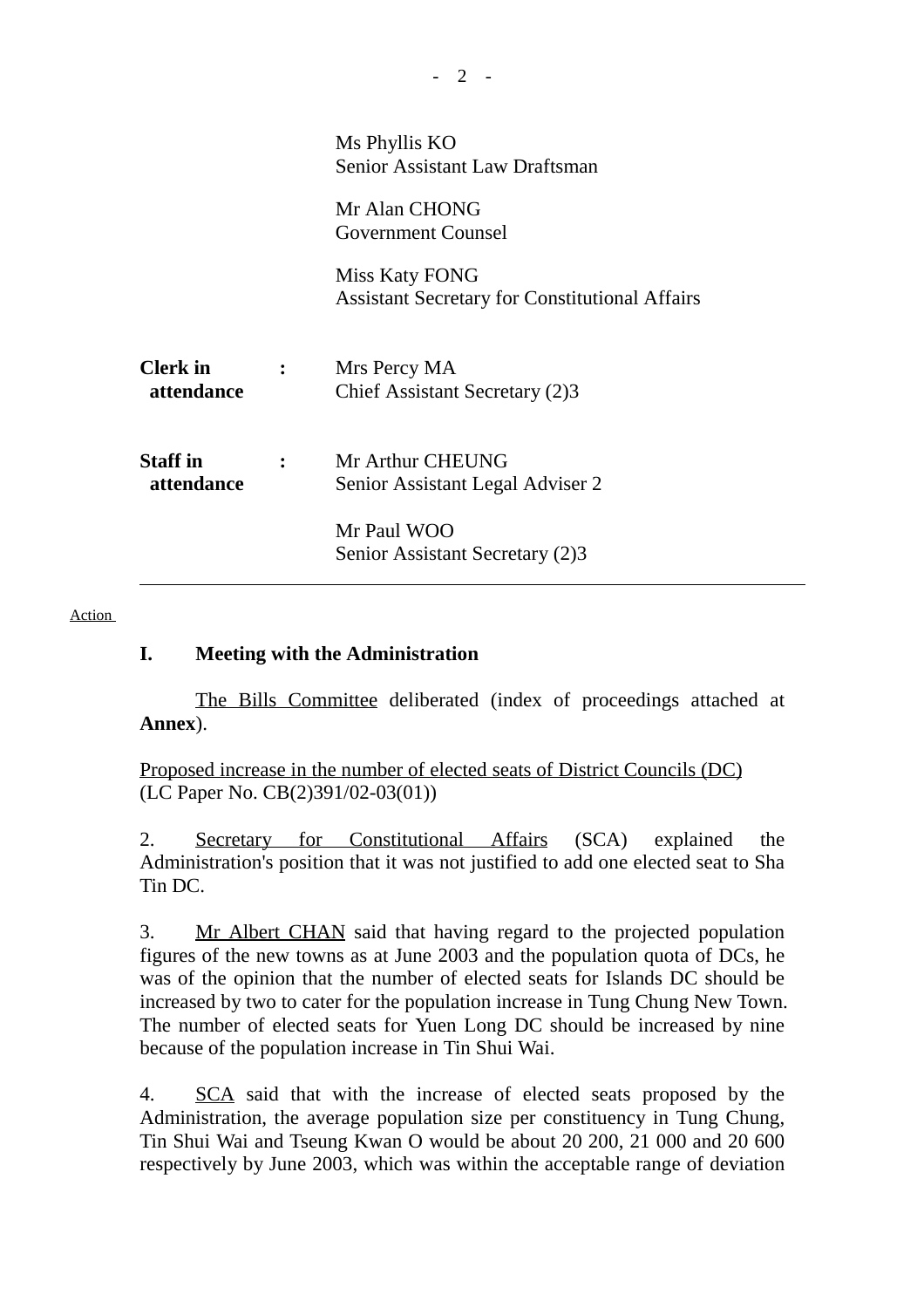|                               |                | Ms Phyllis KO<br><b>Senior Assistant Law Draftsman</b>                  |
|-------------------------------|----------------|-------------------------------------------------------------------------|
|                               |                | Mr Alan CHONG<br><b>Government Counsel</b>                              |
|                               |                | Miss Katy FONG<br><b>Assistant Secretary for Constitutional Affairs</b> |
| <b>Clerk</b> in<br>attendance | $\ddot{\cdot}$ | Mrs Percy MA<br>Chief Assistant Secretary (2)3                          |
| <b>Staff</b> in<br>attendance |                | Mr Arthur CHEUNG<br>Senior Assistant Legal Adviser 2                    |
|                               |                | Mr Paul WOO<br>Senior Assistant Secretary (2)3                          |

#### Action

### **I. Meeting with the Administration**

The Bills Committee deliberated (index of proceedings attached at **Annex**).

Proposed increase in the number of elected seats of District Councils (DC) (LC Paper No. CB(2)391/02-03(01))

2. Secretary for Constitutional Affairs (SCA) explained the Administration's position that it was not justified to add one elected seat to Sha Tin DC.

3. Mr Albert CHAN said that having regard to the projected population figures of the new towns as at June 2003 and the population quota of DCs, he was of the opinion that the number of elected seats for Islands DC should be increased by two to cater for the population increase in Tung Chung New Town. The number of elected seats for Yuen Long DC should be increased by nine because of the population increase in Tin Shui Wai.

4. SCA said that with the increase of elected seats proposed by the Administration, the average population size per constituency in Tung Chung, Tin Shui Wai and Tseung Kwan O would be about 20 200, 21 000 and 20 600 respectively by June 2003, which was within the acceptable range of deviation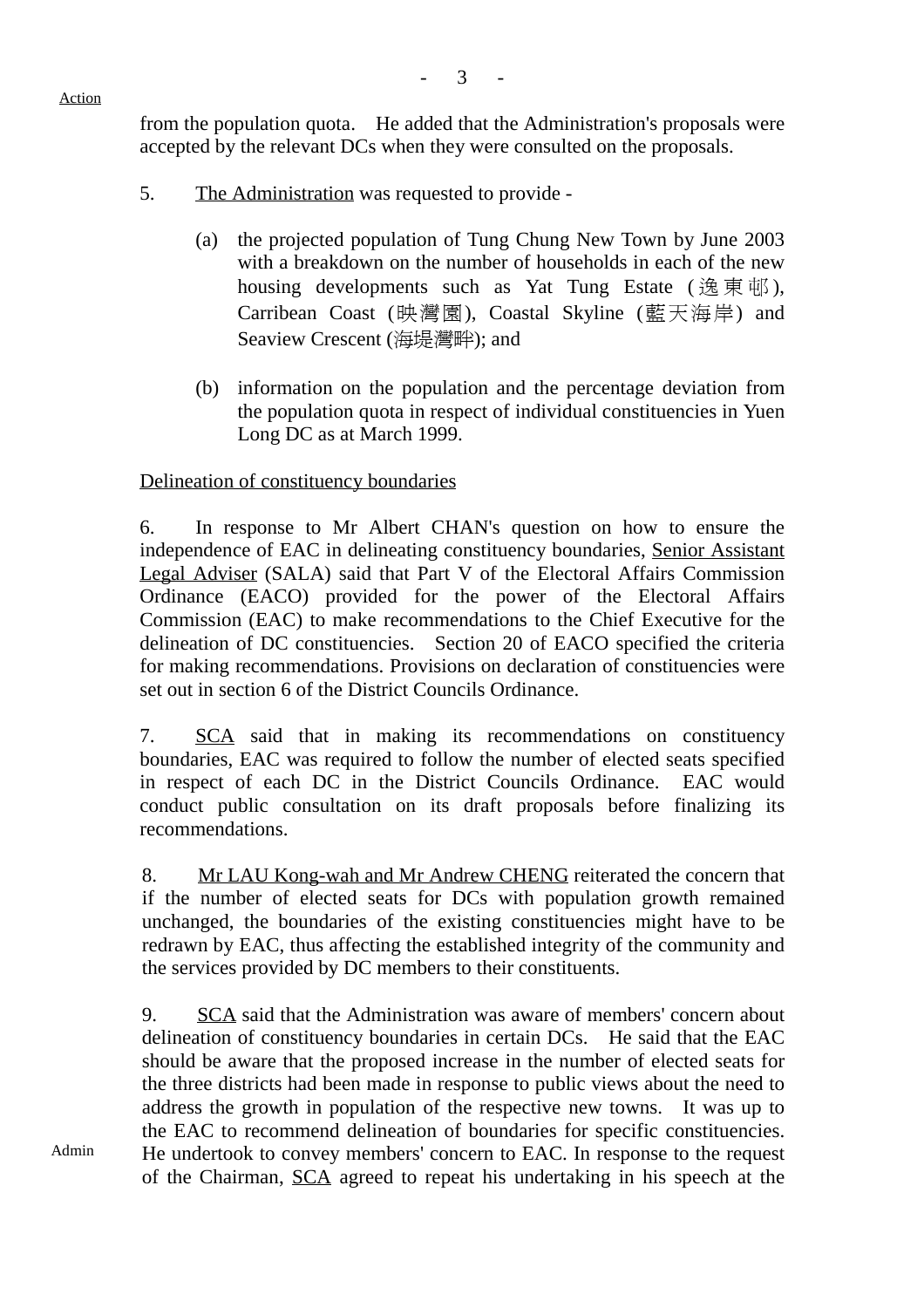$\mathfrak{Z}$ 

#### Action

from the population quota. He added that the Administration's proposals were accepted by the relevant DCs when they were consulted on the proposals.

- 5. The Administration was requested to provide
	- (a) the projected population of Tung Chung New Town by June 2003 with a breakdown on the number of households in each of the new housing developments such as Yat Tung Estate (逸東邨), Carribean Coast (映灣園), Coastal Skyline (藍天海岸) and Seaview Crescent (海堤灣畔); and
	- (b) information on the population and the percentage deviation from the population quota in respect of individual constituencies in Yuen Long DC as at March 1999.

# Delineation of constituency boundaries

6. In response to Mr Albert CHAN's question on how to ensure the independence of EAC in delineating constituency boundaries, Senior Assistant Legal Adviser (SALA) said that Part V of the Electoral Affairs Commission Ordinance (EACO) provided for the power of the Electoral Affairs Commission (EAC) to make recommendations to the Chief Executive for the delineation of DC constituencies. Section 20 of EACO specified the criteria for making recommendations. Provisions on declaration of constituencies were set out in section 6 of the District Councils Ordinance.

7. SCA said that in making its recommendations on constituency boundaries, EAC was required to follow the number of elected seats specified in respect of each DC in the District Councils Ordinance. EAC would conduct public consultation on its draft proposals before finalizing its recommendations.

8. Mr LAU Kong-wah and Mr Andrew CHENG reiterated the concern that if the number of elected seats for DCs with population growth remained unchanged, the boundaries of the existing constituencies might have to be redrawn by EAC, thus affecting the established integrity of the community and the services provided by DC members to their constituents.

9. SCA said that the Administration was aware of members' concern about delineation of constituency boundaries in certain DCs. He said that the EAC should be aware that the proposed increase in the number of elected seats for the three districts had been made in response to public views about the need to address the growth in population of the respective new towns. It was up to the EAC to recommend delineation of boundaries for specific constituencies. He undertook to convey members' concern to EAC. In response to the request of the Chairman, SCA agreed to repeat his undertaking in his speech at the

Admin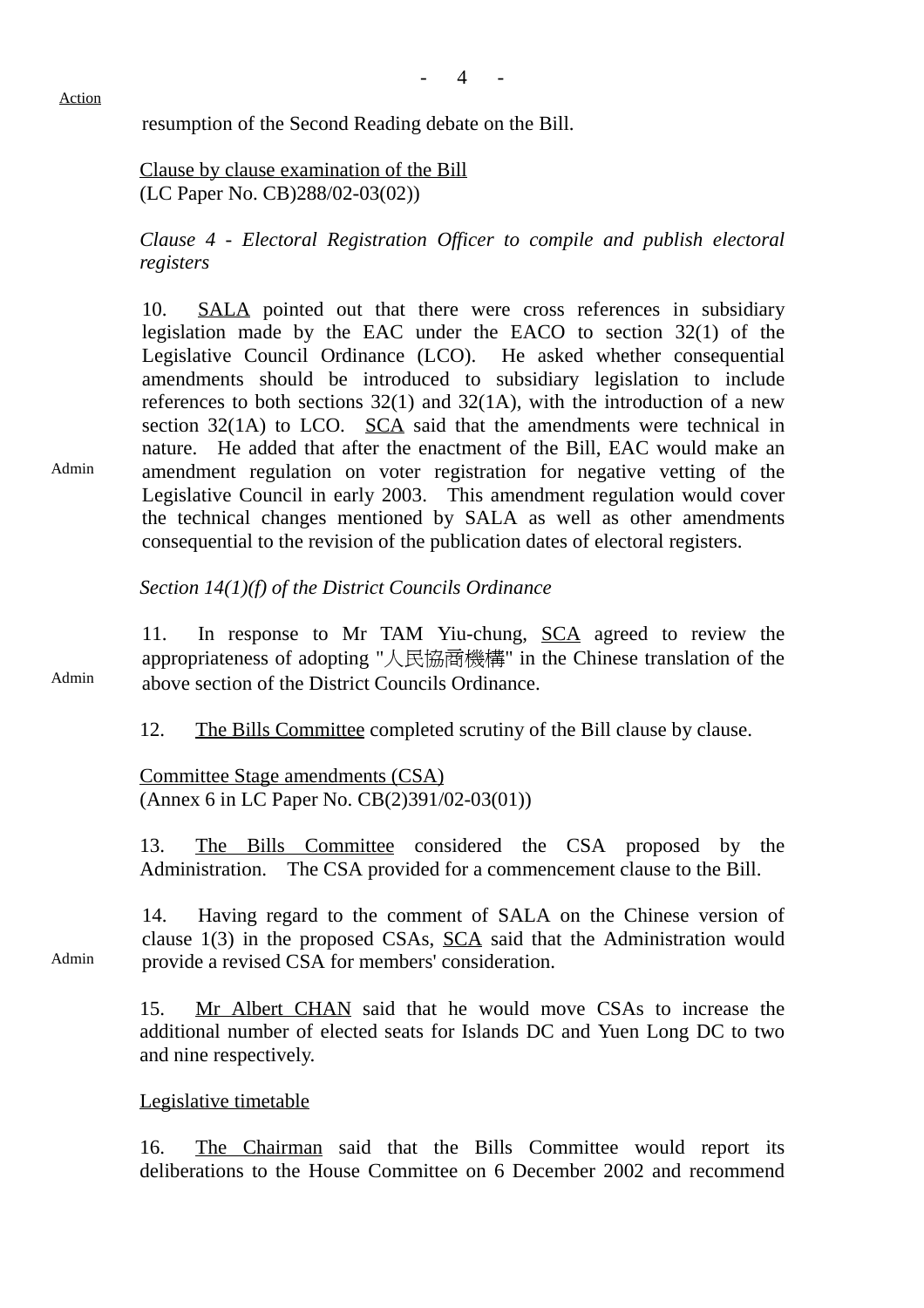#### Action

resumption of the Second Reading debate on the Bill.

Clause by clause examination of the Bill (LC Paper No. CB)288/02-03(02))

*Clause 4 - Electoral Registration Officer to compile and publish electoral registers*

10. SALA pointed out that there were cross references in subsidiary legislation made by the EAC under the EACO to section 32(1) of the Legislative Council Ordinance (LCO). He asked whether consequential amendments should be introduced to subsidiary legislation to include references to both sections  $32(1)$  and  $32(1)$ , with the introduction of a new section 32(1A) to LCO. SCA said that the amendments were technical in nature. He added that after the enactment of the Bill, EAC would make an amendment regulation on voter registration for negative vetting of the Legislative Council in early 2003. This amendment regulation would cover the technical changes mentioned by SALA as well as other amendments consequential to the revision of the publication dates of electoral registers.

*Section 14(1)(f) of the District Councils Ordinance*

11. In response to Mr TAM Yiu-chung, SCA agreed to review the appropriateness of adopting "㆟民協商機構" in the Chinese translation of the above section of the District Councils Ordinance.

12. The Bills Committee completed scrutiny of the Bill clause by clause.

Committee Stage amendments (CSA) (Annex 6 in LC Paper No. CB(2)391/02-03(01))

13. The Bills Committee considered the CSA proposed by the Administration. The CSA provided for a commencement clause to the Bill.

Admin 14. Having regard to the comment of SALA on the Chinese version of clause  $1(3)$  in the proposed CSAs,  $SCA$  said that the Administration would provide a revised CSA for members' consideration.

> 15. Mr Albert CHAN said that he would move CSAs to increase the additional number of elected seats for Islands DC and Yuen Long DC to two and nine respectively.

### Legislative timetable

16. The Chairman said that the Bills Committee would report its deliberations to the House Committee on 6 December 2002 and recommend

Admin

Admin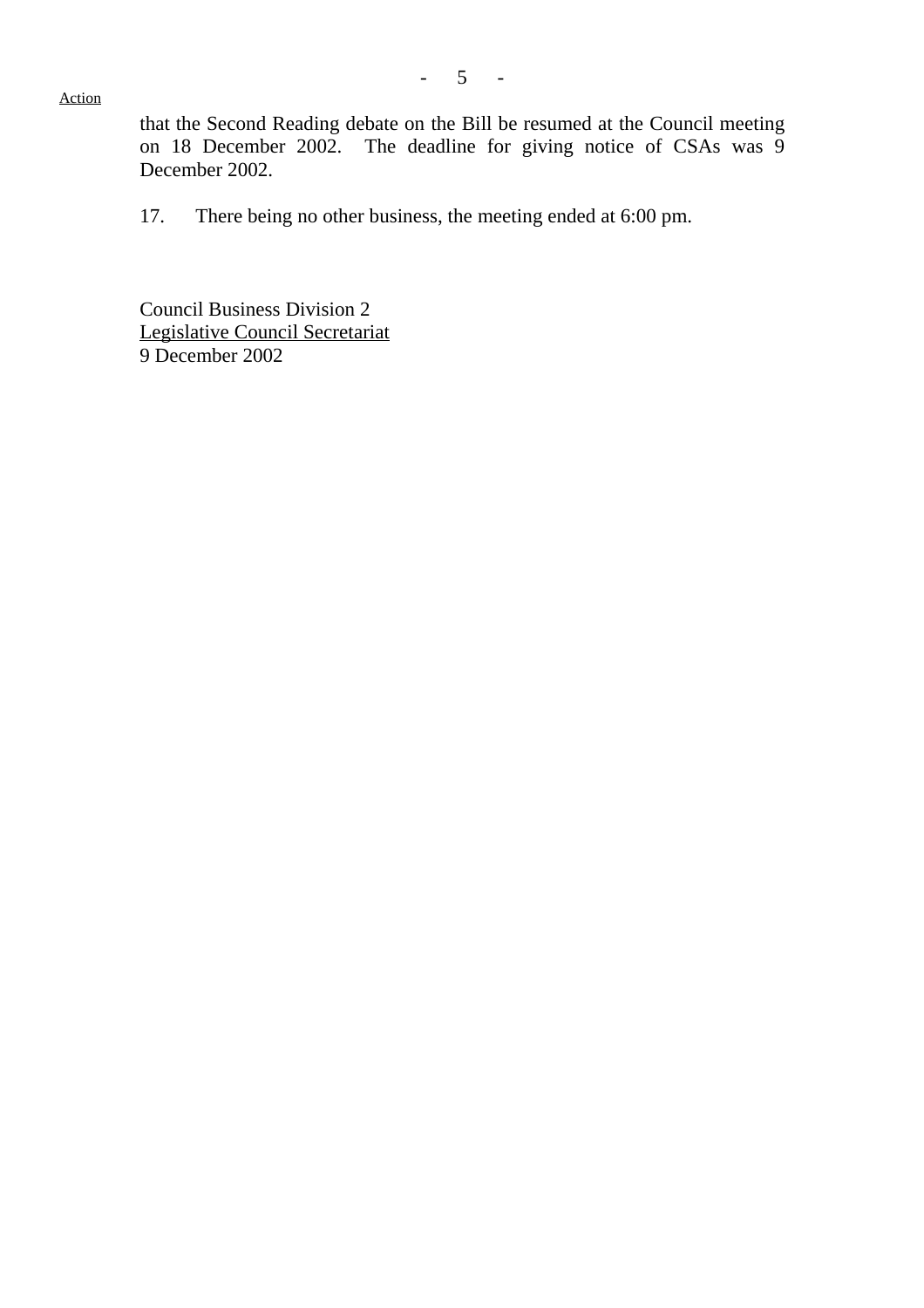Action

that the Second Reading debate on the Bill be resumed at the Council meeting on 18 December 2002. The deadline for giving notice of CSAs was 9 December 2002.

17. There being no other business, the meeting ended at 6:00 pm.

Council Business Division 2 Legislative Council Secretariat 9 December 2002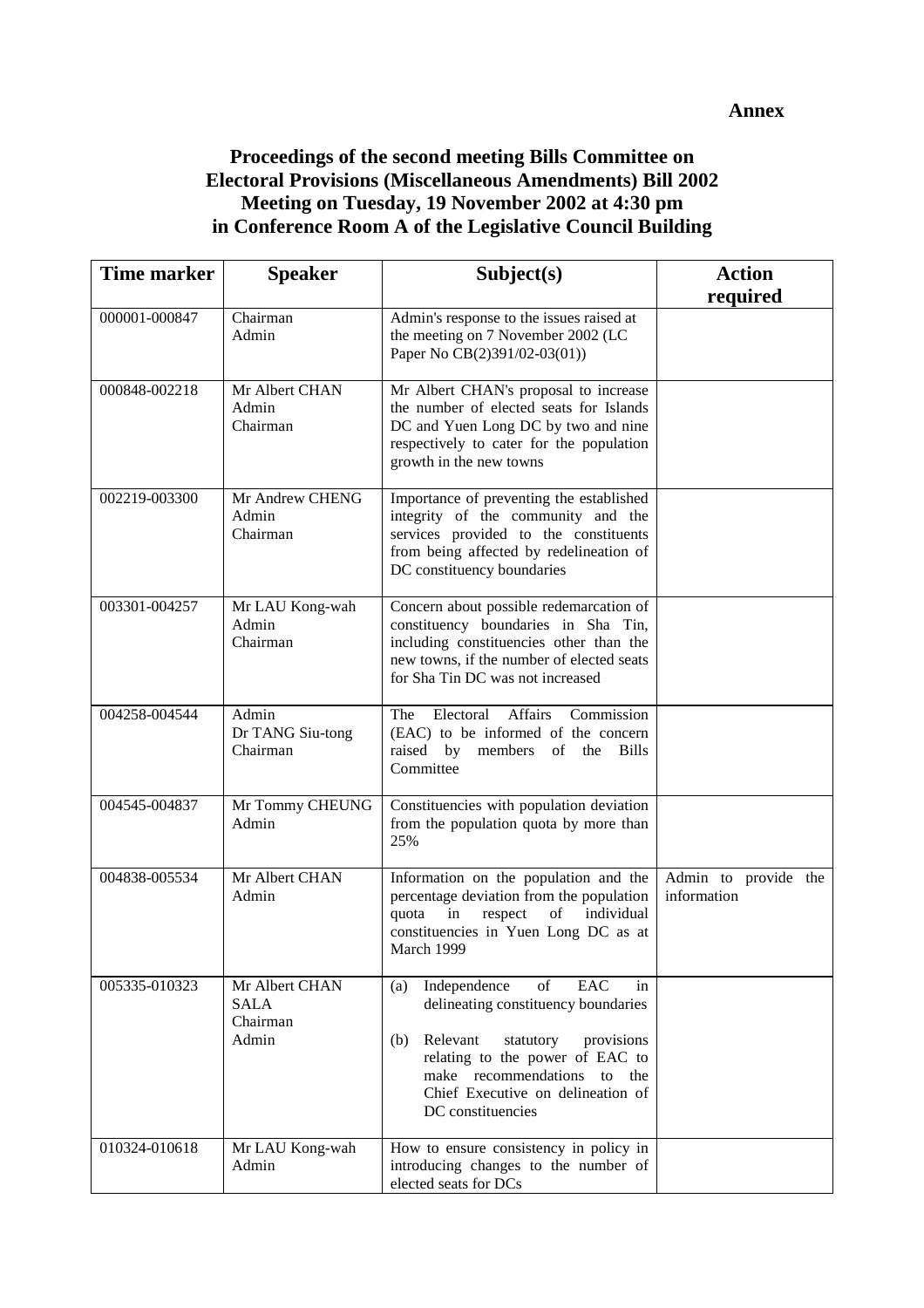# **Proceedings of the second meeting Bills Committee on Electoral Provisions (Miscellaneous Amendments) Bill 2002 Meeting on Tuesday, 19 November 2002 at 4:30 pm in Conference Room A of the Legislative Council Building**

| <b>Time marker</b> | <b>Speaker</b>                                     | Subject(s)                                                                                                                                                                                                                                           | <b>Action</b>                       |
|--------------------|----------------------------------------------------|------------------------------------------------------------------------------------------------------------------------------------------------------------------------------------------------------------------------------------------------------|-------------------------------------|
| 000001-000847      | Chairman<br>Admin                                  | Admin's response to the issues raised at<br>the meeting on 7 November 2002 (LC<br>Paper No CB(2)391/02-03(01))                                                                                                                                       | required                            |
| 000848-002218      | Mr Albert CHAN<br>Admin<br>Chairman                | Mr Albert CHAN's proposal to increase<br>the number of elected seats for Islands<br>DC and Yuen Long DC by two and nine<br>respectively to cater for the population<br>growth in the new towns                                                       |                                     |
| 002219-003300      | Mr Andrew CHENG<br>Admin<br>Chairman               | Importance of preventing the established<br>integrity of the community and the<br>services provided to the constituents<br>from being affected by redelineation of<br>DC constituency boundaries                                                     |                                     |
| 003301-004257      | Mr LAU Kong-wah<br>Admin<br>Chairman               | Concern about possible redemarcation of<br>constituency boundaries in Sha Tin,<br>including constituencies other than the<br>new towns, if the number of elected seats<br>for Sha Tin DC was not increased                                           |                                     |
| 004258-004544      | Admin<br>Dr TANG Siu-tong<br>Chairman              | Electoral Affairs Commission<br>The<br>(EAC) to be informed of the concern<br>raised by members of the Bills<br>Committee                                                                                                                            |                                     |
| 004545-004837      | Mr Tommy CHEUNG<br>Admin                           | Constituencies with population deviation<br>from the population quota by more than<br>25%                                                                                                                                                            |                                     |
| 004838-005534      | Mr Albert CHAN<br>Admin                            | Information on the population and the<br>percentage deviation from the population<br>individual<br>respect<br>of<br>quota<br>in<br>constituencies in Yuen Long DC as at<br>March 1999                                                                | Admin to provide the<br>information |
| 005335-010323      | Mr Albert CHAN<br><b>SALA</b><br>Chairman<br>Admin | Independence<br>of<br>EAC<br>(a)<br>in<br>delineating constituency boundaries<br>(b) Relevant<br>provisions<br>statutory<br>relating to the power of EAC to<br>make recommendations to the<br>Chief Executive on delineation of<br>DC constituencies |                                     |
| 010324-010618      | Mr LAU Kong-wah<br>Admin                           | How to ensure consistency in policy in<br>introducing changes to the number of<br>elected seats for DCs                                                                                                                                              |                                     |